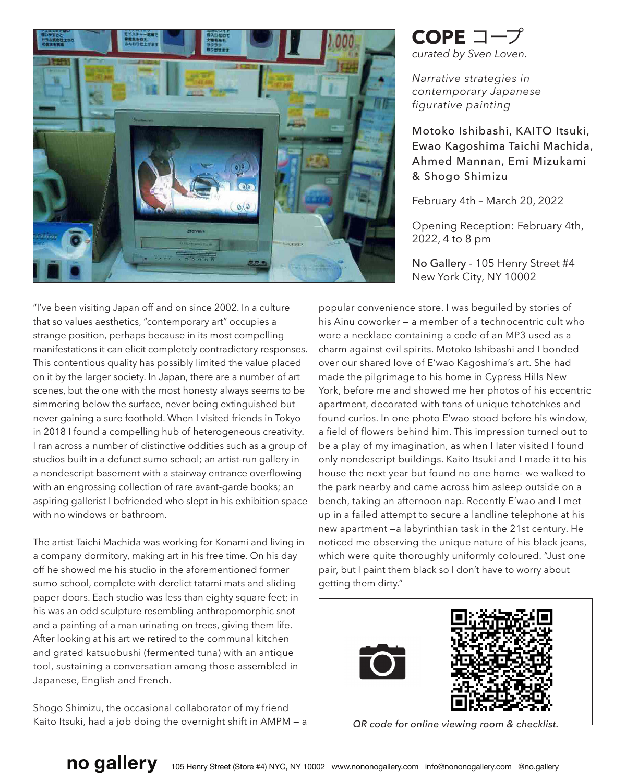

**COPE** コープ *curated by Sven Loven.*

*Narrative strategies in contemporary Japanese figurative painting*

Motoko Ishibashi, KAITO Itsuki, Ewao Kagoshima Taichi Machida, Ahmed Mannan, Emi Mizukami & Shogo Shimizu

February 4th – March 20, 2022

Opening Reception: February 4th, 2022, 4 to 8 pm

No Gallery - 105 Henry Street #4 New York City, NY 10002

"I've been visiting Japan off and on since 2002. In a culture that so values aesthetics, "contemporary art" occupies a strange position, perhaps because in its most compelling manifestations it can elicit completely contradictory responses. This contentious quality has possibly limited the value placed on it by the larger society. In Japan, there are a number of art scenes, but the one with the most honesty always seems to be simmering below the surface, never being extinguished but never gaining a sure foothold. When I visited friends in Tokyo in 2018 I found a compelling hub of heterogeneous creativity. I ran across a number of distinctive oddities such as a group of studios built in a defunct sumo school; an artist-run gallery in a nondescript basement with a stairway entrance overflowing with an engrossing collection of rare avant-garde books; an aspiring gallerist I befriended who slept in his exhibition space with no windows or bathroom.

The artist Taichi Machida was working for Konami and living in a company dormitory, making art in his free time. On his day off he showed me his studio in the aforementioned former sumo school, complete with derelict tatami mats and sliding paper doors. Each studio was less than eighty square feet; in his was an odd sculpture resembling anthropomorphic snot and a painting of a man urinating on trees, giving them life. After looking at his art we retired to the communal kitchen and grated katsuobushi (fermented tuna) with an antique tool, sustaining a conversation among those assembled in Japanese, English and French.

Shogo Shimizu, the occasional collaborator of my friend Kaito Itsuki, had a job doing the overnight shift in AMPM — a

popular convenience store. I was beguiled by stories of his Ainu coworker — a member of a technocentric cult who wore a necklace containing a code of an MP3 used as a charm against evil spirits. Motoko Ishibashi and I bonded over our shared love of E'wao Kagoshima's art. She had made the pilgrimage to his home in Cypress Hills New York, before me and showed me her photos of his eccentric apartment, decorated with tons of unique tchotchkes and found curios. In one photo E'wao stood before his window, a field of flowers behind him. This impression turned out to be a play of my imagination, as when I later visited I found only nondescript buildings. Kaito Itsuki and I made it to his house the next year but found no one home- we walked to the park nearby and came across him asleep outside on a bench, taking an afternoon nap. Recently E'wao and I met up in a failed attempt to secure a landline telephone at his new apartment —a labyrinthian task in the 21st century. He noticed me observing the unique nature of his black jeans, which were quite thoroughly uniformly coloured. "Just one pair, but I paint them black so I don't have to worry about getting them dirty."



*QR code for online viewing room & checklist.*